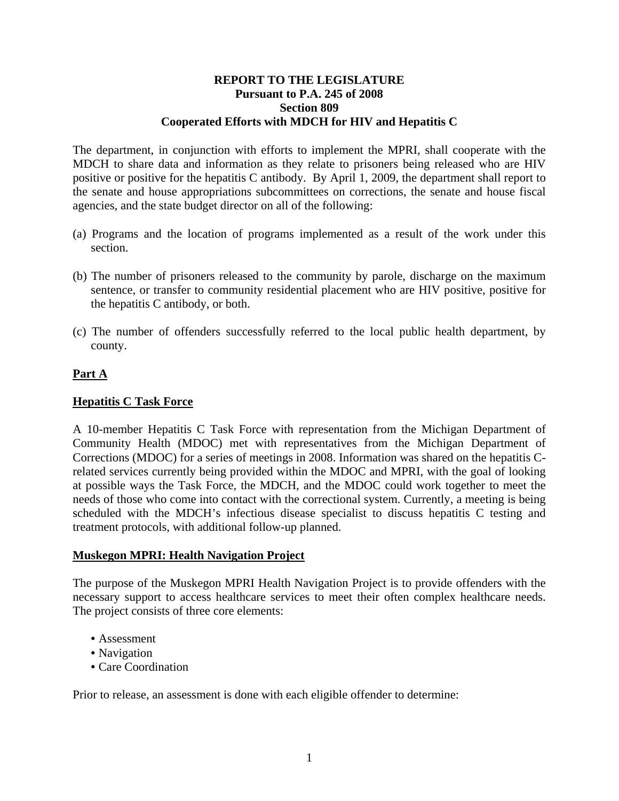#### **REPORT TO THE LEGISLATURE Pursuant to P.A. 245 of 2008 Section 809 Cooperated Efforts with MDCH for HIV and Hepatitis C**

The department, in conjunction with efforts to implement the MPRI, shall cooperate with the MDCH to share data and information as they relate to prisoners being released who are HIV positive or positive for the hepatitis C antibody. By April 1, 2009, the department shall report to the senate and house appropriations subcommittees on corrections, the senate and house fiscal agencies, and the state budget director on all of the following:

- (a) Programs and the location of programs implemented as a result of the work under this section.
- (b) The number of prisoners released to the community by parole, discharge on the maximum sentence, or transfer to community residential placement who are HIV positive, positive for the hepatitis C antibody, or both.
- (c) The number of offenders successfully referred to the local public health department, by county.

# **Part A**

#### **Hepatitis C Task Force**

A 10-member Hepatitis C Task Force with representation from the Michigan Department of Community Health (MDOC) met with representatives from the Michigan Department of Corrections (MDOC) for a series of meetings in 2008. Information was shared on the hepatitis Crelated services currently being provided within the MDOC and MPRI, with the goal of looking at possible ways the Task Force, the MDCH, and the MDOC could work together to meet the needs of those who come into contact with the correctional system. Currently, a meeting is being scheduled with the MDCH's infectious disease specialist to discuss hepatitis C testing and treatment protocols, with additional follow-up planned.

# **Muskegon MPRI: Health Navigation Project**

The purpose of the Muskegon MPRI Health Navigation Project is to provide offenders with the necessary support to access healthcare services to meet their often complex healthcare needs. The project consists of three core elements:

- Assessment
- Navigation
- Care Coordination

Prior to release, an assessment is done with each eligible offender to determine: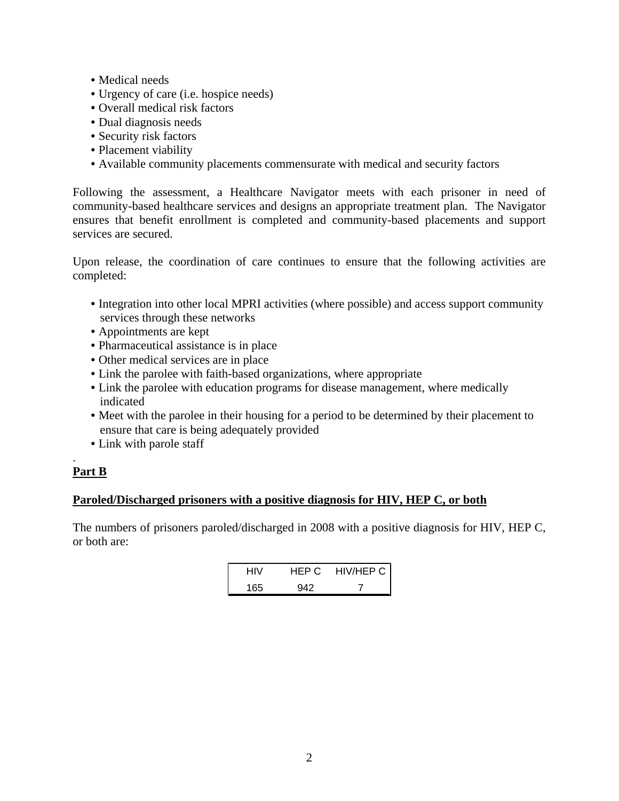- Medical needs
- Urgency of care (i.e. hospice needs)
- Overall medical risk factors
- Dual diagnosis needs
- Security risk factors
- Placement viability
- Available community placements commensurate with medical and security factors

Following the assessment, a Healthcare Navigator meets with each prisoner in need of community-based healthcare services and designs an appropriate treatment plan. The Navigator ensures that benefit enrollment is completed and community-based placements and support services are secured.

Upon release, the coordination of care continues to ensure that the following activities are completed:

- Integration into other local MPRI activities (where possible) and access support community services through these networks
- Appointments are kept
- Pharmaceutical assistance is in place
- Other medical services are in place
- Link the parolee with faith-based organizations, where appropriate
- Link the parolee with education programs for disease management, where medically indicated
- Meet with the parolee in their housing for a period to be determined by their placement to ensure that care is being adequately provided
- Link with parole staff

#### . **Part B**

# **Paroled/Discharged prisoners with a positive diagnosis for HIV, HEP C, or both**

The numbers of prisoners paroled/discharged in 2008 with a positive diagnosis for HIV, HEP C, or both are:

| HIV | HEP C | HIV/HEP C |
|-----|-------|-----------|
| 165 | 942   |           |